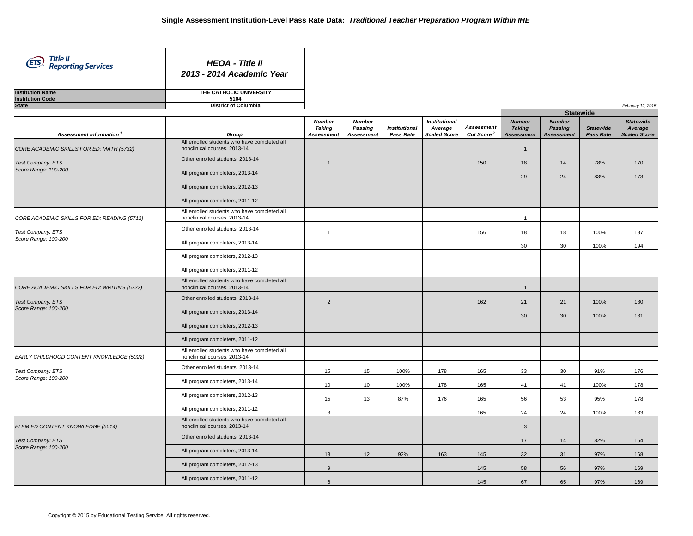| Title II<br>Reporting Services<br>(ETS)<br><b>Institution Name</b> | <b>HEOA</b> - Title II<br>2013 - 2014 Academic Year<br>THE CATHOLIC UNIVERSITY |                                                     |                                               |                                   |                                                        |                                             |                                                     |                                               |                               |                                                    |
|--------------------------------------------------------------------|--------------------------------------------------------------------------------|-----------------------------------------------------|-----------------------------------------------|-----------------------------------|--------------------------------------------------------|---------------------------------------------|-----------------------------------------------------|-----------------------------------------------|-------------------------------|----------------------------------------------------|
| <b>Institution Code</b>                                            | 5104                                                                           |                                                     |                                               |                                   |                                                        |                                             |                                                     |                                               |                               |                                                    |
| <b>State</b>                                                       | <b>District of Columbia</b>                                                    |                                                     |                                               |                                   |                                                        |                                             |                                                     |                                               |                               | February 12, 2015                                  |
|                                                                    |                                                                                |                                                     |                                               |                                   |                                                        |                                             |                                                     |                                               | <b>Statewide</b>              |                                                    |
| Assessment Information <sup>1</sup>                                | Group                                                                          | <b>Number</b><br><b>Taking</b><br><b>Assessment</b> | <b>Number</b><br>Passing<br><b>Assessment</b> | <b>Institutional</b><br>Pass Rate | <b>Institutional</b><br>Average<br><b>Scaled Score</b> | <b>Assessment</b><br>Cut Score <sup>2</sup> | <b>Number</b><br><b>Taking</b><br><b>Assessment</b> | <b>Number</b><br>Passing<br><b>Assessment</b> | <b>Statewide</b><br>Pass Rate | <b>Statewide</b><br>Average<br><b>Scaled Score</b> |
| CORE ACADEMIC SKILLS FOR ED: MATH (5732)                           | All enrolled students who have completed all<br>nonclinical courses, 2013-14   |                                                     |                                               |                                   |                                                        |                                             | $\mathbf{1}$                                        |                                               |                               |                                                    |
| Test Company: ETS                                                  | Other enrolled students, 2013-14                                               | $\overline{1}$                                      |                                               |                                   |                                                        | 150                                         | 18                                                  | 14                                            | 78%                           | 170                                                |
| Score Range: 100-200                                               | All program completers, 2013-14                                                |                                                     |                                               |                                   |                                                        |                                             | 29                                                  | 24                                            | 83%                           | 173                                                |
|                                                                    | All program completers, 2012-13                                                |                                                     |                                               |                                   |                                                        |                                             |                                                     |                                               |                               |                                                    |
|                                                                    | All program completers, 2011-12                                                |                                                     |                                               |                                   |                                                        |                                             |                                                     |                                               |                               |                                                    |
| CORE ACADEMIC SKILLS FOR ED: READING (5712)                        | All enrolled students who have completed all<br>nonclinical courses, 2013-14   |                                                     |                                               |                                   |                                                        |                                             | $\mathbf{1}$                                        |                                               |                               |                                                    |
| Test Company: ETS                                                  | Other enrolled students, 2013-14                                               | $\overline{1}$                                      |                                               |                                   |                                                        | 156                                         | 18                                                  | 18                                            | 100%                          | 187                                                |
| Score Range: 100-200<br>Test Company: ETS<br>Score Range: 100-200  | All program completers, 2013-14                                                |                                                     |                                               |                                   |                                                        |                                             | 30                                                  | 30                                            | 100%                          | 194                                                |
|                                                                    | All program completers, 2012-13                                                |                                                     |                                               |                                   |                                                        |                                             |                                                     |                                               |                               |                                                    |
|                                                                    | All program completers, 2011-12                                                |                                                     |                                               |                                   |                                                        |                                             |                                                     |                                               |                               |                                                    |
| CORE ACADEMIC SKILLS FOR ED: WRITING (5722)                        | All enrolled students who have completed all<br>nonclinical courses, 2013-14   |                                                     |                                               |                                   |                                                        |                                             | $\mathbf{1}$                                        |                                               |                               |                                                    |
| Score Range: 100-200                                               | Other enrolled students, 2013-14                                               | $\overline{2}$                                      |                                               |                                   |                                                        | 162                                         | 21                                                  | 21                                            | 100%                          | 180                                                |
|                                                                    | All program completers, 2013-14                                                |                                                     |                                               |                                   |                                                        |                                             | 30 <sup>°</sup>                                     | 30 <sup>°</sup>                               | 100%                          | 181                                                |
|                                                                    | All program completers, 2012-13                                                |                                                     |                                               |                                   |                                                        |                                             |                                                     |                                               |                               |                                                    |
|                                                                    | All program completers, 2011-12                                                |                                                     |                                               |                                   |                                                        |                                             |                                                     |                                               |                               |                                                    |
| EARLY CHILDHOOD CONTENT KNOWLEDGE (5022)                           | All enrolled students who have completed all<br>nonclinical courses, 2013-14   |                                                     |                                               |                                   |                                                        |                                             |                                                     |                                               |                               |                                                    |
| Test Company: ETS                                                  | Other enrolled students, 2013-14                                               | 15                                                  | 15                                            | 100%                              | 178                                                    | 165                                         | 33                                                  | 30                                            | 91%                           | 176                                                |
|                                                                    | All program completers, 2013-14                                                | 10                                                  | 10                                            | 100%                              | 178                                                    | 165                                         | 41                                                  | 41                                            | 100%                          | 178                                                |
|                                                                    | All program completers, 2012-13                                                | 15                                                  | 13                                            | 87%                               | 176                                                    | 165                                         | 56                                                  | 53                                            | 95%                           | 178                                                |
|                                                                    | All program completers, 2011-12                                                | 3                                                   |                                               |                                   |                                                        | 165                                         | 24                                                  | 24                                            | 100%                          | 183                                                |
| ELEM ED CONTENT KNOWLEDGE (5014)                                   | All enrolled students who have completed all<br>nonclinical courses, 2013-14   |                                                     |                                               |                                   |                                                        |                                             | $\mathbf{3}$                                        |                                               |                               |                                                    |
| Test Company: ETS                                                  | Other enrolled students, 2013-14                                               |                                                     |                                               |                                   |                                                        |                                             | 17                                                  | 14                                            | 82%                           | 164                                                |
| Score Range: 100-200                                               | All program completers, 2013-14                                                | 13                                                  | 12                                            | 92%                               | 163                                                    | 145                                         | 32                                                  | 31                                            | 97%                           | 168                                                |
|                                                                    | All program completers, 2012-13                                                | 9                                                   |                                               |                                   |                                                        | 145                                         | 58                                                  | 56                                            | 97%                           | 169                                                |
|                                                                    | All program completers, 2011-12                                                | 6                                                   |                                               |                                   |                                                        | 145                                         | 67                                                  | 65                                            | 97%                           | 169                                                |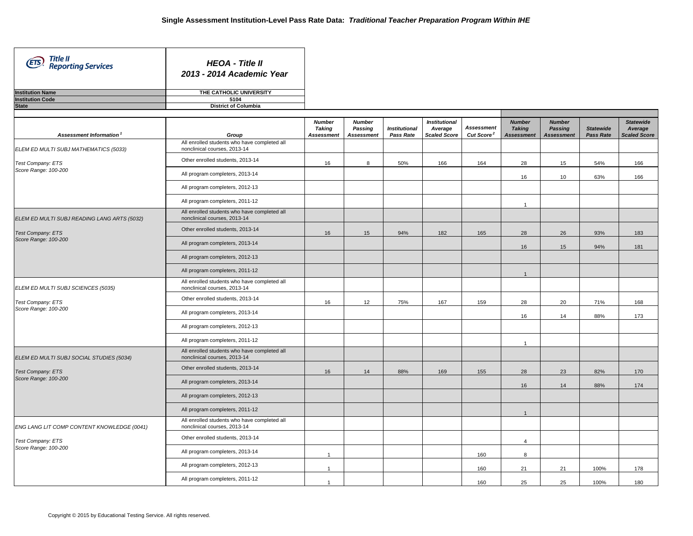۰

┑

| Title II<br>(ETS)<br><b>Reporting Services</b> | <b>HEOA - Title II</b><br>2013 - 2014 Academic Year |
|------------------------------------------------|-----------------------------------------------------|
| <b>Institution Name</b>                        | THE CATHOLIC UNIVERSITY                             |
| <b>Institution Code</b>                        | 5104                                                |
| <b>State</b>                                   | <b>District of Columbia</b>                         |

| Assessment Information                      | Group                                                                        | <b>Number</b><br>Taking<br><b>Assessment</b> | <b>Number</b><br>Passing<br><b>Assessment</b> | <b>Institutional</b><br>Pass Rate | <b>Institutional</b><br>Average<br><b>Scaled Score</b> | <b>Assessment</b><br>Cut Score <sup>2</sup> | <b>Number</b><br><b>Taking</b><br><b>Assessment</b> | <b>Number</b><br><b>Passing</b><br><b>Assessment</b> | <b>Statewide</b><br><b>Pass Rate</b> | <b>Statewide</b><br>Average<br><b>Scaled Score</b> |
|---------------------------------------------|------------------------------------------------------------------------------|----------------------------------------------|-----------------------------------------------|-----------------------------------|--------------------------------------------------------|---------------------------------------------|-----------------------------------------------------|------------------------------------------------------|--------------------------------------|----------------------------------------------------|
| ELEM ED MULTI SUBJ MATHEMATICS (5033)       | All enrolled students who have completed all<br>nonclinical courses, 2013-14 |                                              |                                               |                                   |                                                        |                                             |                                                     |                                                      |                                      |                                                    |
| <b>Test Company: ETS</b>                    | Other enrolled students, 2013-14                                             | 16                                           | 8                                             | 50%                               | 166                                                    | 164                                         | 28                                                  | 15                                                   | 54%                                  | 166                                                |
| Score Range: 100-200                        | All program completers, 2013-14                                              |                                              |                                               |                                   |                                                        |                                             | 16                                                  | 10                                                   | 63%                                  | 166                                                |
|                                             | All program completers, 2012-13                                              |                                              |                                               |                                   |                                                        |                                             |                                                     |                                                      |                                      |                                                    |
|                                             | All program completers, 2011-12                                              |                                              |                                               |                                   |                                                        |                                             | $\overline{1}$                                      |                                                      |                                      |                                                    |
| ELEM ED MULTI SUBJ READING LANG ARTS (5032) | All enrolled students who have completed all<br>nonclinical courses, 2013-14 |                                              |                                               |                                   |                                                        |                                             |                                                     |                                                      |                                      |                                                    |
| <b>Test Company: ETS</b>                    | Other enrolled students, 2013-14                                             | 16                                           | 15                                            | 94%                               | 182                                                    | 165                                         | 28                                                  | 26                                                   | 93%                                  | 183                                                |
| Score Range: 100-200                        | All program completers, 2013-14                                              |                                              |                                               |                                   |                                                        |                                             | 16                                                  | 15                                                   | 94%                                  | 181                                                |
|                                             | All program completers, 2012-13                                              |                                              |                                               |                                   |                                                        |                                             |                                                     |                                                      |                                      |                                                    |
|                                             | All program completers, 2011-12                                              |                                              |                                               |                                   |                                                        |                                             | $\mathbf{1}$                                        |                                                      |                                      |                                                    |
| ELEM ED MULTI SUBJ SCIENCES (5035)          | All enrolled students who have completed all<br>nonclinical courses, 2013-14 |                                              |                                               |                                   |                                                        |                                             |                                                     |                                                      |                                      |                                                    |
| <b>Test Company: ETS</b>                    | Other enrolled students, 2013-14                                             | 16                                           | 12                                            | 75%                               | 167                                                    | 159                                         | 28                                                  | 20                                                   | 71%                                  | 168                                                |
| Score Range: 100-200                        | All program completers, 2013-14                                              |                                              |                                               |                                   |                                                        |                                             | 16                                                  | 14                                                   | 88%                                  | 173                                                |
|                                             | All program completers, 2012-13                                              |                                              |                                               |                                   |                                                        |                                             |                                                     |                                                      |                                      |                                                    |
|                                             | All program completers, 2011-12                                              |                                              |                                               |                                   |                                                        |                                             | $\overline{1}$                                      |                                                      |                                      |                                                    |
| ELEM ED MULTI SUBJ SOCIAL STUDIES (5034)    | All enrolled students who have completed all<br>nonclinical courses, 2013-14 |                                              |                                               |                                   |                                                        |                                             |                                                     |                                                      |                                      |                                                    |
| <b>Test Company: ETS</b>                    | Other enrolled students, 2013-14                                             | 16                                           | 14                                            | 88%                               | 169                                                    | 155                                         | 28                                                  | 23                                                   | 82%                                  | 170                                                |
| Score Range: 100-200                        | All program completers, 2013-14                                              |                                              |                                               |                                   |                                                        |                                             | 16                                                  | 14                                                   | 88%                                  | 174                                                |
|                                             | All program completers, 2012-13                                              |                                              |                                               |                                   |                                                        |                                             |                                                     |                                                      |                                      |                                                    |
|                                             | All program completers, 2011-12                                              |                                              |                                               |                                   |                                                        |                                             | $\overline{1}$                                      |                                                      |                                      |                                                    |
| ENG LANG LIT COMP CONTENT KNOWLEDGE (0041)  | All enrolled students who have completed all<br>nonclinical courses, 2013-14 |                                              |                                               |                                   |                                                        |                                             |                                                     |                                                      |                                      |                                                    |
| <b>Test Company: ETS</b>                    | Other enrolled students, 2013-14                                             |                                              |                                               |                                   |                                                        |                                             | $\overline{4}$                                      |                                                      |                                      |                                                    |
| Score Range: 100-200                        | All program completers, 2013-14                                              | $\overline{\mathbf{1}}$                      |                                               |                                   |                                                        | 160                                         | 8                                                   |                                                      |                                      |                                                    |
|                                             | All program completers, 2012-13                                              | $\overline{1}$                               |                                               |                                   |                                                        | 160                                         | 21                                                  | 21                                                   | 100%                                 | 178                                                |
|                                             | All program completers, 2011-12                                              | $\overline{1}$                               |                                               |                                   |                                                        | 160                                         | 25                                                  | 25                                                   | 100%                                 | 180                                                |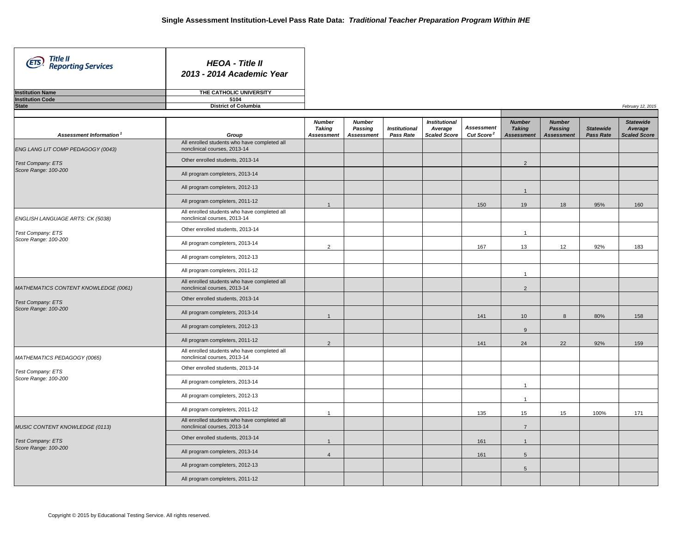*February 12, 2015*

| Title II<br>(ETS)<br><b>Reporting Services</b> | <b>HEOA - Title II</b><br>2013 - 2014 Academic Year |
|------------------------------------------------|-----------------------------------------------------|
| <b>Institution Name</b>                        | THE CATHOLIC UNIVERSITY                             |
| <b>Institution Code</b>                        | 5104                                                |
| <b>State</b>                                   | <b>District of Columbia</b>                         |

- 1

|                                           |                                                                              | <b>Number</b><br><b>Taking</b> | <b>Number</b><br>Passing | <b>Institutional</b> | <b>Institutional</b><br>Average | <b>Assessment</b>      | <b>Number</b><br><b>Taking</b> | <b>Number</b><br>Passing | <b>Statewide</b> | <b>Statewide</b><br>Average |
|-------------------------------------------|------------------------------------------------------------------------------|--------------------------------|--------------------------|----------------------|---------------------------------|------------------------|--------------------------------|--------------------------|------------------|-----------------------------|
| Assessment Information <sup>1</sup>       | Group                                                                        | <b>Assessment</b>              | <b>Assessment</b>        | Pass Rate            | <b>Scaled Score</b>             | Cut Score <sup>2</sup> | <b>Assessment</b>              | <b>Assessment</b>        | <b>Pass Rate</b> | <b>Scaled Score</b>         |
| ENG LANG LIT COMP PEDAGOGY (0043)         | All enrolled students who have completed all<br>nonclinical courses, 2013-14 |                                |                          |                      |                                 |                        |                                |                          |                  |                             |
| Test Company: ETS<br>Score Range: 100-200 | Other enrolled students, 2013-14                                             |                                |                          |                      |                                 |                        | 2                              |                          |                  |                             |
|                                           | All program completers, 2013-14                                              |                                |                          |                      |                                 |                        |                                |                          |                  |                             |
|                                           | All program completers, 2012-13                                              |                                |                          |                      |                                 |                        | $\overline{1}$                 |                          |                  |                             |
|                                           | All program completers, 2011-12                                              | $\overline{1}$                 |                          |                      |                                 | 150                    | 19                             | 18                       | 95%              | 160                         |
| ENGLISH LANGUAGE ARTS: CK (5038)          | All enrolled students who have completed all<br>nonclinical courses, 2013-14 |                                |                          |                      |                                 |                        |                                |                          |                  |                             |
| Test Company: ETS                         | Other enrolled students, 2013-14                                             |                                |                          |                      |                                 |                        | $\overline{1}$                 |                          |                  |                             |
| Score Range: 100-200                      | All program completers, 2013-14                                              | $\overline{2}$                 |                          |                      |                                 | 167                    | 13                             | 12                       | 92%              | 183                         |
|                                           | All program completers, 2012-13                                              |                                |                          |                      |                                 |                        |                                |                          |                  |                             |
|                                           | All program completers, 2011-12                                              |                                |                          |                      |                                 |                        | $\mathbf{1}$                   |                          |                  |                             |
| MATHEMATICS CONTENT KNOWLEDGE (0061)      | All enrolled students who have completed all<br>nonclinical courses, 2013-14 |                                |                          |                      |                                 |                        | $\overline{2}$                 |                          |                  |                             |
| <b>Test Company: ETS</b>                  | Other enrolled students, 2013-14                                             |                                |                          |                      |                                 |                        |                                |                          |                  |                             |
| Score Range: 100-200                      | All program completers, 2013-14                                              | $\overline{1}$                 |                          |                      |                                 | 141                    | 10 <sup>10</sup>               | 8                        | 80%              | 158                         |
|                                           | All program completers, 2012-13                                              |                                |                          |                      |                                 |                        | 9                              |                          |                  |                             |
|                                           | All program completers, 2011-12                                              | 2                              |                          |                      |                                 | 141                    | 24                             | 22                       | 92%              | 159                         |
| MATHEMATICS PEDAGOGY (0065)               | All enrolled students who have completed all<br>nonclinical courses, 2013-14 |                                |                          |                      |                                 |                        |                                |                          |                  |                             |
| Test Company: ETS                         | Other enrolled students, 2013-14                                             |                                |                          |                      |                                 |                        |                                |                          |                  |                             |
| Score Range: 100-200                      | All program completers, 2013-14                                              |                                |                          |                      |                                 |                        | $\overline{1}$                 |                          |                  |                             |
|                                           | All program completers, 2012-13                                              |                                |                          |                      |                                 |                        | $\overline{1}$                 |                          |                  |                             |
|                                           | All program completers, 2011-12                                              | $\overline{1}$                 |                          |                      |                                 | 135                    | 15                             | 15                       | 100%             | 171                         |
| MUSIC CONTENT KNOWLEDGE (0113)            | All enrolled students who have completed all<br>nonclinical courses, 2013-14 |                                |                          |                      |                                 |                        | $\overline{7}$                 |                          |                  |                             |
| <b>Test Company: ETS</b>                  | Other enrolled students, 2013-14                                             | $\overline{1}$                 |                          |                      |                                 | 161                    | $\overline{1}$                 |                          |                  |                             |
| Score Range: 100-200                      | All program completers, 2013-14                                              | $\overline{4}$                 |                          |                      |                                 | 161                    | 5                              |                          |                  |                             |
|                                           | All program completers, 2012-13                                              |                                |                          |                      |                                 |                        | 5                              |                          |                  |                             |
|                                           | All program completers, 2011-12                                              |                                |                          |                      |                                 |                        |                                |                          |                  |                             |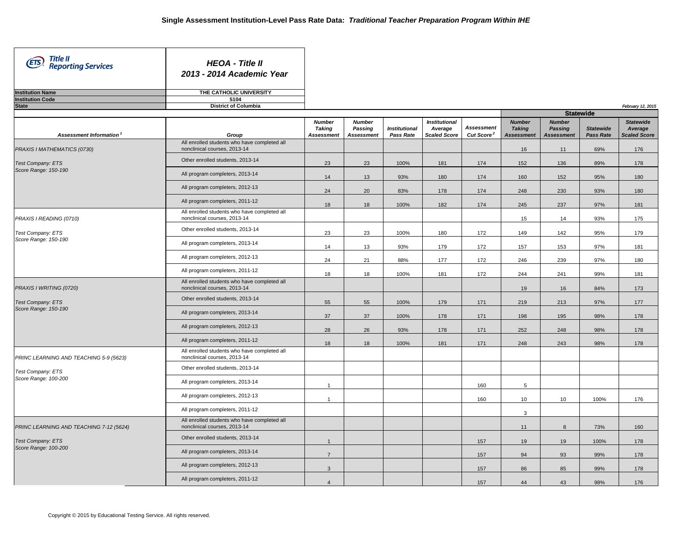*February 12, 2015*

| Title II<br><b>ETS</b> , Reporting Services | <b>HEOA</b> - Title II<br>2013 - 2014 Academic Year |
|---------------------------------------------|-----------------------------------------------------|
| <b>Institution Name</b>                     | THE CATHOLIC UNIVERSITY                             |
| <b>Institution Code</b>                     | 5104                                                |
| <b>State</b>                                | <b>District of Columbia</b>                         |

 $\mathbf{I}$ 

|                                         |                                                                              |                                              |                                               |                                          |                                                        |                                             |                                                     | <b>Statewide</b>                              |                                      |                                                    |
|-----------------------------------------|------------------------------------------------------------------------------|----------------------------------------------|-----------------------------------------------|------------------------------------------|--------------------------------------------------------|---------------------------------------------|-----------------------------------------------------|-----------------------------------------------|--------------------------------------|----------------------------------------------------|
| Assessment Information                  | Group                                                                        | <b>Number</b><br><b>Taking</b><br>Assessment | <b>Number</b><br>Passing<br><b>Assessment</b> | <b>Institutional</b><br><b>Pass Rate</b> | <b>Institutional</b><br>Average<br><b>Scaled Score</b> | <b>Assessment</b><br>Cut Score <sup>2</sup> | <b>Number</b><br><b>Taking</b><br><b>Assessment</b> | <b>Number</b><br>Passing<br><b>Assessment</b> | <b>Statewide</b><br><b>Pass Rate</b> | <b>Statewide</b><br>Average<br><b>Scaled Score</b> |
| PRAXIS I MATHEMATICS (0730)             | All enrolled students who have completed all<br>nonclinical courses, 2013-14 |                                              |                                               |                                          |                                                        |                                             | 16                                                  | 11                                            | 69%                                  | 176                                                |
| <b>Test Company: ETS</b>                | Other enrolled students, 2013-14                                             | 23                                           | 23                                            | 100%                                     | 181                                                    | 174                                         | 152                                                 | 136                                           | 89%                                  | 178                                                |
| Score Range: 150-190                    | All program completers, 2013-14                                              | 14                                           | 13                                            | 93%                                      | 180                                                    | 174                                         | 160                                                 | 152                                           | 95%                                  | 180                                                |
|                                         | All program completers, 2012-13                                              | 24                                           | 20                                            | 83%                                      | 178                                                    | 174                                         | 248                                                 | 230                                           | 93%                                  | 180                                                |
|                                         | All program completers, 2011-12                                              | 18                                           | 18                                            | 100%                                     | 182                                                    | 174                                         | 245                                                 | 237                                           | 97%                                  | 181                                                |
| PRAXIS I READING (0710)                 | All enrolled students who have completed all<br>nonclinical courses, 2013-14 |                                              |                                               |                                          |                                                        |                                             | 15                                                  | 14                                            | 93%                                  | 175                                                |
| Test Company: ETS                       | Other enrolled students, 2013-14                                             | 23                                           | 23                                            | 100%                                     | 180                                                    | 172                                         | 149                                                 | 142                                           | 95%                                  | 179                                                |
| Score Range: 150-190                    | All program completers, 2013-14                                              | 14                                           | 13                                            | 93%                                      | 179                                                    | 172                                         | 157                                                 | 153                                           | 97%                                  | 181                                                |
|                                         | All program completers, 2012-13                                              | 24                                           | 21                                            | 88%                                      | 177                                                    | 172                                         | 246                                                 | 239                                           | 97%                                  | 180                                                |
|                                         | All program completers, 2011-12                                              | 18                                           | 18                                            | 100%                                     | 181                                                    | 172                                         | 244                                                 | 241                                           | 99%                                  | 181                                                |
| PRAXIS I WRITING (0720)                 | All enrolled students who have completed all<br>nonclinical courses, 2013-14 |                                              |                                               |                                          |                                                        |                                             | 19                                                  | 16                                            | 84%                                  | 173                                                |
| <b>Test Company: ETS</b>                | Other enrolled students, 2013-14                                             | 55                                           | 55                                            | 100%                                     | 179                                                    | 171                                         | 219                                                 | 213                                           | 97%                                  | 177                                                |
| Score Range: 150-190                    | All program completers, 2013-14                                              | 37                                           | 37                                            | 100%                                     | 178                                                    | 171                                         | 198                                                 | 195                                           | 98%                                  | 178                                                |
|                                         | All program completers, 2012-13                                              | 28                                           | 26                                            | 93%                                      | 178                                                    | 171                                         | 252                                                 | 248                                           | 98%                                  | 178                                                |
|                                         | All program completers, 2011-12                                              | 18                                           | 18                                            | 100%                                     | 181                                                    | 171                                         | 248                                                 | 243                                           | 98%                                  | 178                                                |
| PRINC LEARNING AND TEACHING 5-9 (5623)  | All enrolled students who have completed all<br>nonclinical courses, 2013-14 |                                              |                                               |                                          |                                                        |                                             |                                                     |                                               |                                      |                                                    |
| Test Company: ETS                       | Other enrolled students, 2013-14                                             |                                              |                                               |                                          |                                                        |                                             |                                                     |                                               |                                      |                                                    |
| Score Range: 100-200                    | All program completers, 2013-14                                              | -1                                           |                                               |                                          |                                                        | 160                                         | 5                                                   |                                               |                                      |                                                    |
|                                         | All program completers, 2012-13                                              | $\overline{1}$                               |                                               |                                          |                                                        | 160                                         | 10                                                  | 10                                            | 100%                                 | 176                                                |
|                                         | All program completers, 2011-12                                              |                                              |                                               |                                          |                                                        |                                             | 3                                                   |                                               |                                      |                                                    |
| PRINC LEARNING AND TEACHING 7-12 (5624) | All enrolled students who have completed all<br>nonclinical courses, 2013-14 |                                              |                                               |                                          |                                                        |                                             | 11                                                  | 8                                             | 73%                                  | 160                                                |
| Test Company: ETS                       | Other enrolled students, 2013-14                                             | $\overline{1}$                               |                                               |                                          |                                                        | 157                                         | 19                                                  | 19                                            | 100%                                 | 178                                                |
| Score Range: 100-200                    | All program completers, 2013-14                                              | $\overline{7}$                               |                                               |                                          |                                                        | 157                                         | 94                                                  | 93                                            | 99%                                  | 178                                                |
|                                         | All program completers, 2012-13                                              | $\mathbf{3}$                                 |                                               |                                          |                                                        | 157                                         | 86                                                  | 85                                            | 99%                                  | 178                                                |
|                                         | All program completers, 2011-12                                              | $\overline{4}$                               |                                               |                                          |                                                        | 157                                         | 44                                                  | 43                                            | 98%                                  | 176                                                |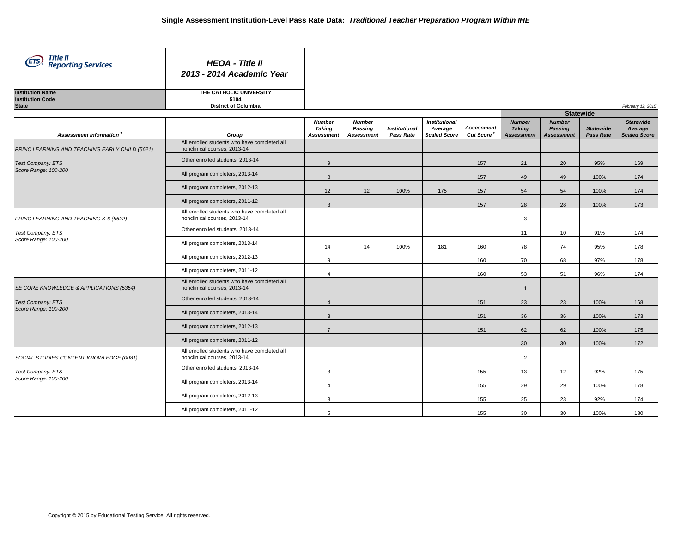*February 12, 2015*

| Title II<br><b>ETS</b> , <i>Hitle if Reporting Services</i> | <b>HEOA - Title II</b><br>2013 - 2014 Academic Year |
|-------------------------------------------------------------|-----------------------------------------------------|
| <b>Institution Name</b>                                     | THE CATHOLIC UNIVERSITY                             |
| <b>Institution Code</b>                                     | 5104                                                |
| State                                                       | <b>District of Columbia</b>                         |

|                                                |                                                                              |                                              |                                               |                                   |                                                        |                                             |                                              | <b>Statewide</b>                              |                                      |                                                    |
|------------------------------------------------|------------------------------------------------------------------------------|----------------------------------------------|-----------------------------------------------|-----------------------------------|--------------------------------------------------------|---------------------------------------------|----------------------------------------------|-----------------------------------------------|--------------------------------------|----------------------------------------------------|
| Assessment Information                         | Group                                                                        | <b>Number</b><br><b>Taking</b><br>Assessment | <b>Number</b><br>Passing<br><b>Assessment</b> | <b>Institutional</b><br>Pass Rate | <b>Institutional</b><br>Average<br><b>Scaled Score</b> | <b>Assessment</b><br>Cut Score <sup>2</sup> | <b>Number</b><br><b>Taking</b><br>Assessment | <b>Number</b><br>Passing<br><b>Assessment</b> | <b>Statewide</b><br><b>Pass Rate</b> | <b>Statewide</b><br>Average<br><b>Scaled Score</b> |
| PRINC LEARNING AND TEACHING EARLY CHILD (5621) | All enrolled students who have completed all<br>nonclinical courses, 2013-14 |                                              |                                               |                                   |                                                        |                                             |                                              |                                               |                                      |                                                    |
| <b>Test Company: ETS</b>                       | Other enrolled students, 2013-14                                             | 9                                            |                                               |                                   |                                                        | 157                                         | 21                                           | 20                                            | 95%                                  | 169                                                |
| Score Range: 100-200                           | All program completers, 2013-14                                              | 8                                            |                                               |                                   |                                                        | 157                                         | 49                                           | 49                                            | 100%                                 | 174                                                |
|                                                | All program completers, 2012-13                                              | 12                                           | 12                                            | 100%                              | 175                                                    | 157                                         | 54                                           | 54                                            | 100%                                 | 174                                                |
|                                                | All program completers, 2011-12                                              | $\mathbf{3}$                                 |                                               |                                   |                                                        | 157                                         | 28                                           | 28                                            | 100%                                 | 173                                                |
| PRINC LEARNING AND TEACHING K-6 (5622)         | All enrolled students who have completed all<br>nonclinical courses, 2013-14 |                                              |                                               |                                   |                                                        |                                             | 3                                            |                                               |                                      |                                                    |
| <b>Test Company: ETS</b>                       | Other enrolled students, 2013-14                                             |                                              |                                               |                                   |                                                        |                                             | 11                                           | 10                                            | 91%                                  | 174                                                |
| Score Range: 100-200                           | All program completers, 2013-14                                              | 14                                           | 14                                            | 100%                              | 181                                                    | 160                                         | 78                                           | 74                                            | 95%                                  | 178                                                |
|                                                | All program completers, 2012-13                                              | 9                                            |                                               |                                   |                                                        | 160                                         | 70                                           | 68                                            | 97%                                  | 178                                                |
|                                                | All program completers, 2011-12                                              | $\overline{4}$                               |                                               |                                   |                                                        | 160                                         | 53                                           | 51                                            | 96%                                  | 174                                                |
| SE CORE KNOWLEDGE & APPLICATIONS (5354)        | All enrolled students who have completed all<br>nonclinical courses, 2013-14 |                                              |                                               |                                   |                                                        |                                             | $\overline{1}$                               |                                               |                                      |                                                    |
| <b>Test Company: ETS</b>                       | Other enrolled students, 2013-14                                             | $\overline{4}$                               |                                               |                                   |                                                        | 151                                         | 23                                           | 23                                            | 100%                                 | 168                                                |
| Score Range: 100-200                           | All program completers, 2013-14                                              | $\overline{3}$                               |                                               |                                   |                                                        | 151                                         | 36                                           | 36                                            | 100%                                 | 173                                                |
|                                                | All program completers, 2012-13                                              | $\overline{7}$                               |                                               |                                   |                                                        | 151                                         | 62                                           | 62                                            | 100%                                 | 175                                                |
|                                                | All program completers, 2011-12                                              |                                              |                                               |                                   |                                                        |                                             | 30                                           | 30                                            | 100%                                 | 172                                                |
| SOCIAL STUDIES CONTENT KNOWLEDGE (0081)        | All enrolled students who have completed all<br>nonclinical courses, 2013-14 |                                              |                                               |                                   |                                                        |                                             | $\overline{2}$                               |                                               |                                      |                                                    |
| <b>Test Company: ETS</b>                       | Other enrolled students, 2013-14                                             | 3                                            |                                               |                                   |                                                        | 155                                         | 13                                           | 12                                            | 92%                                  | 175                                                |
| Score Range: 100-200                           | All program completers, 2013-14                                              | $\boldsymbol{\Delta}$                        |                                               |                                   |                                                        | 155                                         | 29                                           | 29                                            | 100%                                 | 178                                                |
|                                                | All program completers, 2012-13                                              | 3                                            |                                               |                                   |                                                        | 155                                         | 25                                           | 23                                            | 92%                                  | 174                                                |
|                                                | All program completers, 2011-12                                              | 5                                            |                                               |                                   |                                                        | 155                                         | 30                                           | 30                                            | 100%                                 | 180                                                |